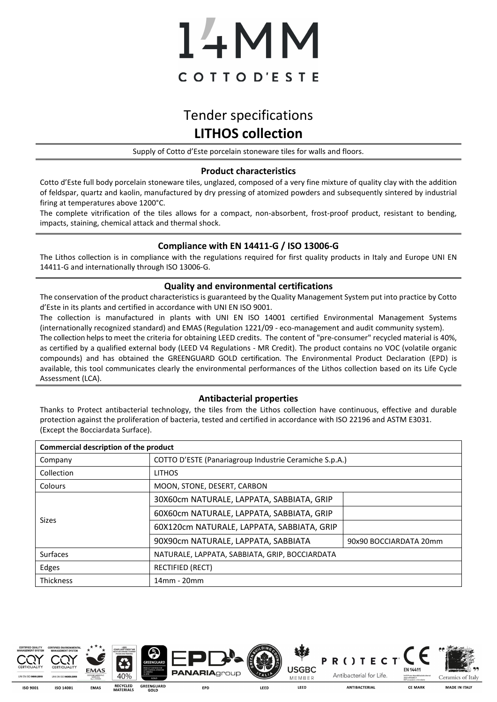# 14MM COTTOD'ESTE

# Tender specifications **LITHOS collection**

Supply of Cotto d'Este porcelain stoneware tiles for walls and floors.

#### **Product characteristics**

Cotto d'Este full body porcelain stoneware tiles, unglazed, composed of a very fine mixture of quality clay with the addition of feldspar, quartz and kaolin, manufactured by dry pressing of atomized powders and subsequently sintered by industrial firing at temperatures above 1200°C.

The complete vitrification of the tiles allows for a compact, non-absorbent, frost-proof product, resistant to bending, impacts, staining, chemical attack and thermal shock.

### **Compliance with EN 14411-G / ISO 13006-G**

The Lithos collection is in compliance with the regulations required for first quality products in Italy and Europe UNI EN 14411-G and internationally through ISO 13006-G.

#### **Quality and environmental certifications**

The conservation of the product characteristics is guaranteed by the Quality Management System put into practice by Cotto d'Este in its plants and certified in accordance with UNI EN ISO 9001.

The collection is manufactured in plants with UNI EN ISO 14001 certified Environmental Management Systems (internationally recognized standard) and EMAS (Regulation 1221/09 - eco-management and audit community system). The collection helps to meet the criteria for obtaining LEED credits. The content of "pre-consumer" recycled material is 40%, as certified by a qualified external body (LEED V4 Regulations - MR Credit). The product contains no VOC (volatile organic compounds) and has obtained the GREENGUARD GOLD certification. The Environmental Product Declaration (EPD) is available, this tool communicates clearly the environmental performances of the Lithos collection based on its Life Cycle Assessment (LCA).

### **Antibacterial properties**

Thanks to Protect antibacterial technology, the tiles from the Lithos collection have continuous, effective and durable protection against the proliferation of bacteria, tested and certified in accordance with ISO 22196 and ASTM E3031. (Except the Bocciardata Surface).

| Commercial description of the product |                                                        |                        |  |  |  |  |
|---------------------------------------|--------------------------------------------------------|------------------------|--|--|--|--|
| Company                               | COTTO D'ESTE (Panariagroup Industrie Ceramiche S.p.A.) |                        |  |  |  |  |
| Collection                            | <b>LITHOS</b>                                          |                        |  |  |  |  |
| Colours                               | MOON, STONE, DESERT, CARBON                            |                        |  |  |  |  |
| <b>Sizes</b>                          | 30X60cm NATURALE, LAPPATA, SABBIATA, GRIP              |                        |  |  |  |  |
|                                       | 60X60cm NATURALE, LAPPATA, SABBIATA, GRIP              |                        |  |  |  |  |
|                                       | 60X120cm NATURALE, LAPPATA, SABBIATA, GRIP             |                        |  |  |  |  |
|                                       | 90X90cm NATURALE, LAPPATA, SABBIATA                    | 90x90 BOCCIARDATA 20mm |  |  |  |  |
| Surfaces                              | NATURALE, LAPPATA, SABBIATA, GRIP, BOCCIARDATA         |                        |  |  |  |  |
| Edges                                 | <b>RECTIFIED (RECT)</b>                                |                        |  |  |  |  |
| Thickness                             | 14mm - 20mm                                            |                        |  |  |  |  |